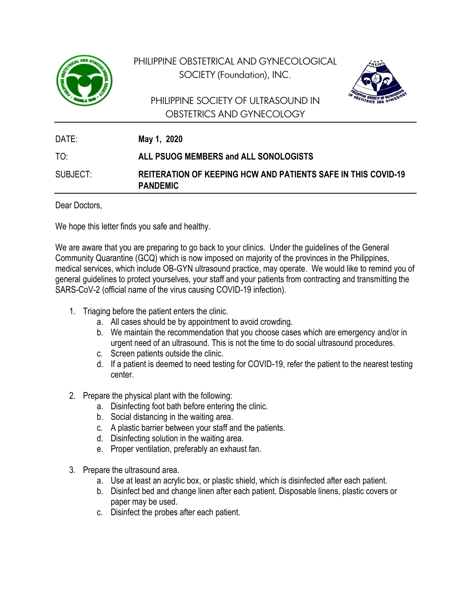

PHILIPPINE OBSTETRICAL AND GYNECOLOGICAL SOCIETY (Foundation), INC.

## PHILIPPINE SOCIETY OF ULTRASOUND IN OBSTETRICS AND GYNECOLOGY



| DATE:    | May 1, 2020                                                                             |
|----------|-----------------------------------------------------------------------------------------|
| TO.      | ALL PSUOG MEMBERS and ALL SONOLOGISTS                                                   |
| SUBJECT: | <b>REITERATION OF KEEPING HCW AND PATIENTS SAFE IN THIS COVID-19</b><br><b>PANDEMIC</b> |

Dear Doctors,

We hope this letter finds you safe and healthy.

We are aware that you are preparing to go back to your clinics. Under the guidelines of the General Community Quarantine (GCQ) which is now imposed on majority of the provinces in the Philippines, medical services, which include OB-GYN ultrasound practice, may operate. We would like to remind you of general guidelines to protect yourselves, your staff and your patients from contracting and transmitting the SARS-CoV-2 (official name of the virus causing COVID-19 infection).

- 1. Triaging before the patient enters the clinic.
	- a. All cases should be by appointment to avoid crowding.
	- b. We maintain the recommendation that you choose cases which are emergency and/or in urgent need of an ultrasound. This is not the time to do social ultrasound procedures.
	- c. Screen patients outside the clinic.
	- d. If a patient is deemed to need testing for COVID-19, refer the patient to the nearest testing center.
- 2. Prepare the physical plant with the following:
	- a. Disinfecting foot bath before entering the clinic.
	- b. Social distancing in the waiting area.
	- c. A plastic barrier between your staff and the patients.
	- d. Disinfecting solution in the waiting area.
	- e. Proper ventilation, preferably an exhaust fan.
- 3. Prepare the ultrasound area.
	- a. Use at least an acrylic box, or plastic shield, which is disinfected after each patient.
	- b. Disinfect bed and change linen after each patient. Disposable linens, plastic covers or paper may be used.
	- c. Disinfect the probes after each patient.